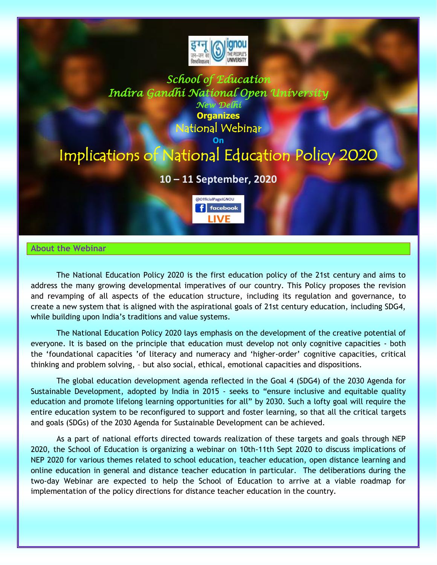

## *School of Education Indira Gandhi National Open University New Delhi*

**Organizes** Iational Webinar

# **On** Implications of National Education Policy 2020

# **10 – 11 September, 2020**



## **About the Webinar**

The National Education Policy 2020 is the first education policy of the 21st century and aims to address the many growing developmental imperatives of our country. This Policy proposes the revision and revamping of all aspects of the education structure, including its regulation and governance, to create a new system that is aligned with the aspirational goals of 21st century education, including SDG4, while building upon India's traditions and value systems.

The National Education Policy 2020 lays emphasis on the development of the creative potential of everyone. It is based on the principle that education must develop not only cognitive capacities - both the 'foundational capacities 'of literacy and numeracy and 'higher-order' cognitive capacities, critical thinking and problem solving, – but also social, ethical, emotional capacities and dispositions.

The global education development agenda reflected in the Goal 4 (SDG4) of the 2030 Agenda for Sustainable Development, adopted by India in 2015 - seeks to "ensure inclusive and equitable quality education and promote lifelong learning opportunities for all" by 2030. Such a lofty goal will require the entire education system to be reconfigured to support and foster learning, so that all the critical targets and goals (SDGs) of the 2030 Agenda for Sustainable Development can be achieved.

As a part of national efforts directed towards realization of these targets and goals through NEP 2020, the School of Education is organizing a webinar on 10th-11th Sept 2020 to discuss implications of NEP 2020 for various themes related to school education, teacher education, open distance learning and online education in general and distance teacher education in particular. The deliberations during the two-day Webinar are expected to help the School of Education to arrive at a viable roadmap for implementation of the policy directions for distance teacher education in the country.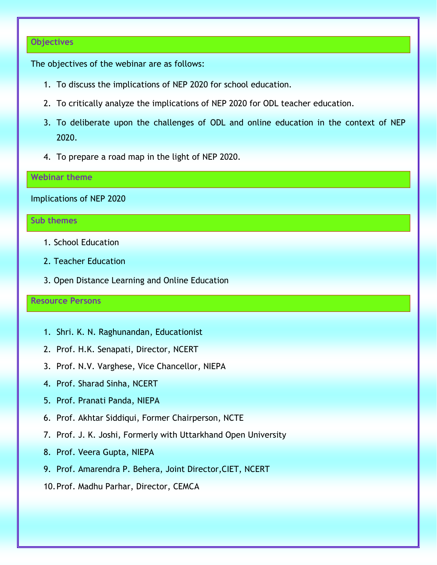#### **Objectives**

The objectives of the webinar are as follows:

- 1. To discuss the implications of NEP 2020 for school education.
- 2. To critically analyze the implications of NEP 2020 for ODL teacher education.
- 3. To deliberate upon the challenges of ODL and online education in the context of NEP 2020.
- 4. To prepare a road map in the light of NEP 2020.

## **Webinar theme**

Implications of NEP 2020

## **Sub themes**

- 1. School Education
- 2. Teacher Education
- 3. Open Distance Learning and Online Education

#### **Resource Persons**

- 1. Shri. K. N. Raghunandan, Educationist
- 2. Prof. H.K. Senapati, Director, NCERT
- 3. Prof. N.V. Varghese, Vice Chancellor, NIEPA
- 4. Prof. Sharad Sinha, NCERT
- 5. Prof. Pranati Panda, NIEPA
- 6. Prof. Akhtar Siddiqui, Former Chairperson, NCTE
- 7. Prof. J. K. Joshi, Formerly with Uttarkhand Open University
- 8. Prof. Veera Gupta, NIEPA
- 9. Prof. Amarendra P. Behera, Joint Director,CIET, NCERT
- 10.Prof. Madhu Parhar, Director, CEMCA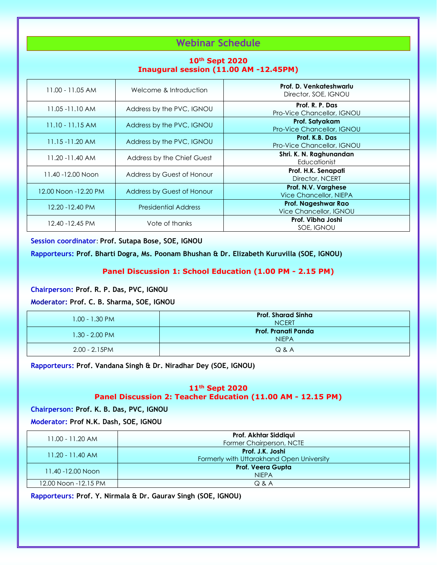# **Webinar Schedule**

## **10th Sept 2020 Inaugural session (11.00 AM -12.45PM)**

| Welcome & Introduction      | Prof. D. Venkateshwarlu<br>Director, SOE, IGNOU      |
|-----------------------------|------------------------------------------------------|
| Address by the PVC, IGNOU   | Prof. R. P. Das<br>Pro-Vice Chancellor, IGNOU        |
| Address by the PVC, IGNOU   | Prof. Satyakam<br>Pro-Vice Chancellor, IGNOU         |
| Address by the PVC, IGNOU   | Prof. K.B. Das<br>Pro-Vice Chancellor, IGNOU         |
| Address by the Chief Guest  | Shri. K. N. Raghunandan<br>Educationist              |
| Address by Guest of Honour  | Prof. H.K. Senapati<br>Director, NCERT               |
| Address by Guest of Honour  | Prof. N.V. Varghese<br><b>Vice Chancellor, NIEPA</b> |
| <b>Presidential Address</b> | Prof. Nageshwar Rao<br>Vice Chancellor, IGNOU        |
| Vote of thanks              | Prof. Vibha Joshi<br>SOE, IGNOU                      |
|                             |                                                      |

#### **Session coordinator**: **Prof. Sutapa Bose, SOE, IGNOU**

**Rapporteurs: Prof. Bharti Dogra, Ms. Poonam Bhushan & Dr. Elizabeth Kuruvilla (SOE, IGNOU)**

#### **Panel Discussion 1: School Education (1.00 PM - 2.15 PM)**

**Chairperson: Prof. R. P. Das, PVC, IGNOU**

**Moderator: Prof. C. B. Sharma, SOE, IGNOU**

| $1.00 - 1.30 P/M$ | <b>Prof. Sharad Sinha</b><br><b>NCERT</b> |
|-------------------|-------------------------------------------|
| $1.30 - 2.00$ PM  | Prof. Pranati Panda<br><b>NIEPA</b>       |
| $2.00 - 2.15$ PM  | Q & A                                     |

**Rapporteurs: Prof. Vandana Singh & Dr. Niradhar Dey (SOE, IGNOU)**

### **11th Sept 2020 Panel Discussion 2: Teacher Education (11.00 AM - 12.15 PM)**

## **Chairperson: Prof. K. B. Das, PVC, IGNOU**

**Moderator: Prof N.K. Dash, SOE, IGNOU**

| 11.00 - 11.20 AM     | Prof. Akhtar Siddiqui<br>Former Chairperson, NCTE             |
|----------------------|---------------------------------------------------------------|
| $11.20 - 11.40$ AM   | Prof. J.K. Joshi<br>Formerly with Uttarakhand Open University |
| 11.40 -12.00 Noon    | <b>Prof. Veera Gupta</b><br><b>NIEPA</b>                      |
| 12.00 Noon -12.15 PM | Q & A                                                         |

**Rapporteurs: Prof. Y. Nirmala & Dr. Gaurav Singh (SOE, IGNOU)**